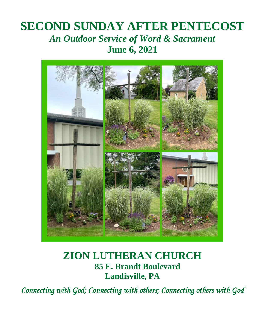# **SECOND SUNDAY AFTER PENTECOST** *An Outdoor Service of Word & Sacrament* **June 6, 2021**



# **ZION LUTHERAN CHURCH 85 E. Brandt Boulevard Landisville, PA**

*Connecting with God; Connecting with others; Connecting others with God*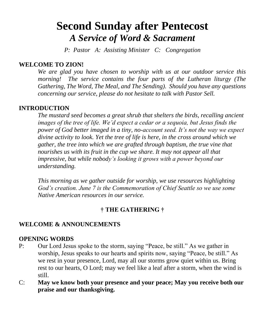# **Second Sunday after Pentecost** *A Service of Word & Sacrament*

*P: Pastor A: Assisting Minister C: Congregation* 

#### **WELCOME TO ZION!**

*We are glad you have chosen to worship with us at our outdoor service this morning! The service contains the four parts of the Lutheran liturgy (The Gathering, The Word, The Meal, and The Sending). Should you have any questions concerning our service, please do not hesitate to talk with Pastor Sell.* 

#### **INTRODUCTION**

*The mustard seed becomes a great shrub that shelters the birds, recalling ancient images of the tree of life. We'd expect a cedar or a sequoia, but Jesus finds the power of God better imaged in a tiny, no-account seed. It's not the way we expect divine activity to look. Yet the tree of life is here, in the cross around which we gather, the tree into which we are grafted through baptism, the true vine that nourishes us with its fruit in the cup we share. It may not appear all that impressive, but while nobody's looking it grows with a power beyond our understanding.* 

*This morning as we gather outside for worship, we use resources highlighting God's creation. June 7 is the Commemoration of Chief Seattle so we use some Native American resources in our service.*

#### **† THE GATHERING †**

#### **WELCOME & ANNOUNCEMENTS**

#### **OPENING WORDS**

- P: Our Lord Jesus spoke to the storm, saying "Peace, be still." As we gather in worship, Jesus speaks to our hearts and spirits now, saying "Peace, be still." As we rest in your presence, Lord, may all our storms grow quiet within us. Bring rest to our hearts, O Lord; may we feel like a leaf after a storm, when the wind is still.
- C: **May we know both your presence and your peace; May you receive both our praise and our thanksgiving.**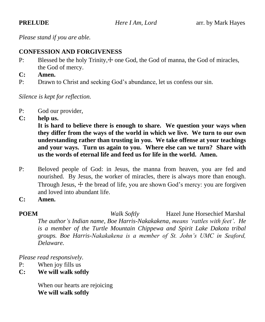*Please stand if you are able.* 

#### **CONFESSION AND FORGIVENESS**

- P: Blessed be the holy Trinity,  $\pm$  one God, the God of manna, the God of miracles, the God of mercy.
- **C: Amen.**
- P: Drawn to Christ and seeking God's abundance, let us confess our sin.

*Silence is kept for reflection.*

- P: God our provider,
- **C: help us.**

**It is hard to believe there is enough to share. We question your ways when they differ from the ways of the world in which we live. We turn to our own understanding rather than trusting in you. We take offense at your teachings and your ways. Turn us again to you. Where else can we turn? Share with us the words of eternal life and feed us for life in the world. Amen.**

- P: Beloved people of God: in Jesus, the manna from heaven, you are fed and nourished. By Jesus, the worker of miracles, there is always more than enough. Through Jesus,  $\pm$  the bread of life, you are shown God's mercy: you are forgiven and loved into abundant life.
- **C: Amen.**

**POEM** *Walk Softly*Hazel June Horsechief Marshal *The author's Indian name, Boe Harris-Nakakakena, means 'rattles with feet'. He is a member of the Turtle Mountain Chippewa and Spirit Lake Dakota tribal groups. Boe Harris-Nakakakena is a member of St. John's UMC in Seaford, Delaware.* 

*Please read responsively.*

- P: When joy fills us
- **C: We will walk softly**

When our hearts are rejoicing **We will walk softly**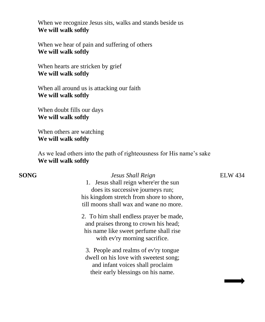When we recognize Jesus sits, walks and stands beside us **We will walk softly**

When we hear of pain and suffering of others **We will walk softly**

When hearts are stricken by grief **We will walk softly**

When all around us is attacking our faith **We will walk softly**

When doubt fills our days **We will walk softly**

When others are watching **We will walk softly**

As we lead others into the path of righteousness for His name's sake **We will walk softly**

| <b>SONG</b> | Jesus Shall Reign                                                                | <b>ELW 434</b> |
|-------------|----------------------------------------------------------------------------------|----------------|
|             | 1. Jesus shall reign where'er the sun                                            |                |
|             | does its successive journeys run;                                                |                |
|             | his kingdom stretch from shore to shore,                                         |                |
|             | till moons shall wax and wane no more.                                           |                |
|             | 2. To him shall endless prayer be made,<br>and praises throng to crown his head; |                |
|             | his name like sweet perfume shall rise<br>with ev'ry morning sacrifice.          |                |
|             | 3. People and realms of ev'ry tongue                                             |                |
|             | dwell on his love with sweetest song;                                            |                |
|             | and infant voices shall proclaim                                                 |                |
|             | their early blessings on his name.                                               |                |
|             |                                                                                  |                |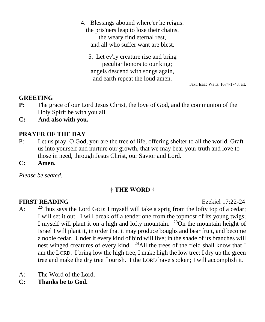- 4. Blessings abound where'er he reigns: the pris'ners leap to lose their chains, the weary find eternal rest, and all who suffer want are blest.
	- 5. Let ev'ry creature rise and bring peculiar honors to our king; angels descend with songs again, and earth repeat the loud amen.

Text: Isaac Watts, 1674-1748, alt.

#### **GREETING**

- **P:** The grace of our Lord Jesus Christ, the love of God, and the communion of the Holy Spirit be with you all.
- **C: And also with you.**

#### **PRAYER OF THE DAY**

- P: Let us pray. O God, you are the tree of life, offering shelter to all the world. Graft us into yourself and nurture our growth, that we may bear your truth and love to those in need, through Jesus Christ, our Savior and Lord.
- **C: Amen.**

*Please be seated.*

#### **† THE WORD †**

#### **FIRST READING EXECUTE:** Exekiel 17:22-24

- A:  $^{22}$ Thus says the Lord GOD: I myself will take a sprig from the lofty top of a cedar; I will set it out. I will break off a tender one from the topmost of its young twigs; I myself will plant it on a high and lofty mountain. <sup>23</sup>On the mountain height of Israel I will plant it, in order that it may produce boughs and bear fruit, and become a noble cedar. Under it every kind of bird will live; in the shade of its branches will nest winged creatures of every kind. <sup>24</sup>All the trees of the field shall know that I am the LORD. I bring low the high tree, I make high the low tree; I dry up the green tree and make the dry tree flourish. I the LORD have spoken; I will accomplish it.
- A: The Word of the Lord.
- **C: Thanks be to God.**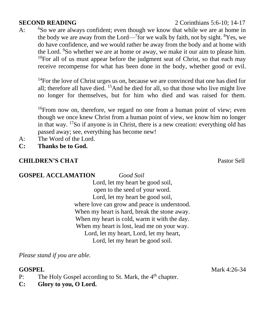A: <sup>6</sup>So we are always confident; even though we know that while we are at home in the body we are away from the Lord— $7$  for we walk by faith, not by sight.  $8$  Yes, we do have confidence, and we would rather be away from the body and at home with the Lord. <sup>9</sup>So whether we are at home or away, we make it our aim to please him.  $10$ For all of us must appear before the judgment seat of Christ, so that each may receive recompense for what has been done in the body, whether good or evil.

<sup>14</sup>For the love of Christ urges us on, because we are convinced that one has died for all; therefore all have died.  $15$ And he died for all, so that those who live might live no longer for themselves, but for him who died and was raised for them.

<sup>16</sup>From now on, therefore, we regard no one from a human point of view; even though we once knew Christ from a human point of view, we know him no longer in that way. <sup>17</sup>So if anyone is in Christ, there is a new creation: everything old has passed away; see, everything has become new!

- A: The Word of the Lord.
- **C: Thanks be to God.**

#### **CHILDREN'S CHAT Pastor Sell Pastor Sell Pastor Sell Pastor Sell Pastor Sell Pastor Sell Pastor Sell Pastor Sell Pastor Sell Pastor Sell Pastor Sell Pastor Sell Pastor Sell Pastor Sell Pastor**

#### **GOSPEL ACCLAMATION** *Good Soil*

Lord, let my heart be good soil, open to the seed of your word. Lord, let my heart be good soil, where love can grow and peace is understood. When my heart is hard, break the stone away. When my heart is cold, warm it with the day. When my heart is lost, lead me on your way. Lord, let my heart, Lord, let my heart, Lord, let my heart be good soil.

*Please stand if you are able.*

- P: The Holy Gospel according to St. Mark, the 4<sup>th</sup> chapter.
- **C: Glory to you, O Lord.**

**GOSPEL** Mark 4:26-34

**SECOND READING** 2 Corinthians 5:6-10; 14-17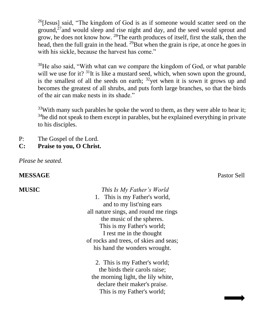$^{26}$ [Jesus] said, "The kingdom of God is as if someone would scatter seed on the ground,<sup>27</sup> and would sleep and rise night and day, and the seed would sprout and grow, he does not know how.  $28$ The earth produces of itself, first the stalk, then the head, then the full grain in the head. <sup>29</sup>But when the grain is ripe, at once he goes in with his sickle, because the harvest has come."

 $30$ He also said, "With what can we compare the kingdom of God, or what parable will we use for it? <sup>31</sup>It is like a mustard seed, which, when sown upon the ground, is the smallest of all the seeds on earth;  $32$  yet when it is sown it grows up and becomes the greatest of all shrubs, and puts forth large branches, so that the birds of the air can make nests in its shade."

 $33$ With many such parables he spoke the word to them, as they were able to hear it; <sup>34</sup>he did not speak to them except in parables, but he explained everything in private to his disciples.

- P: The Gospel of the Lord.
- **C: Praise to you, O Christ.**

*Please be seated.*

#### **MESSAGE** Pastor Sell

**MUSIC** *This Is My Father's World* 1. This is my Father's world, and to my list'ning ears all nature sings, and round me rings the music of the spheres. This is my Father's world; I rest me in the thought of rocks and trees, of skies and seas; his hand the wonders wrought.

> 2. This is my Father's world; the birds their carols raise; the morning light, the lily white, declare their maker's praise. This is my Father's world;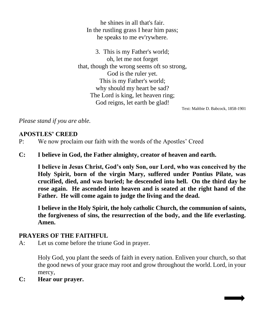he shines in all that's fair. In the rustling grass I hear him pass; he speaks to me ev'rywhere.

3. This is my Father's world; oh, let me not forget that, though the wrong seems oft so strong, God is the ruler yet. This is my Father's world; why should my heart be sad? The Lord is king, let heaven ring; God reigns, let earth be glad!

Text: Maltbie D. Babcock, 1858-1901

*Please stand if you are able.*

#### **APOSTLES' CREED**

- P: We now proclaim our faith with the words of the Apostles' Creed
- **C: I believe in God, the Father almighty, creator of heaven and earth.**

**I believe in Jesus Christ, God's only Son, our Lord, who was conceived by the Holy Spirit, born of the virgin Mary, suffered under Pontius Pilate, was crucified, died, and was buried; he descended into hell. On the third day he rose again. He ascended into heaven and is seated at the right hand of the Father. He will come again to judge the living and the dead.**

**I believe in the Holy Spirit, the holy catholic Church, the communion of saints, the forgiveness of sins, the resurrection of the body, and the life everlasting. Amen.** 

#### **PRAYERS OF THE FAITHFUL**

A: Let us come before the triune God in prayer.

Holy God, you plant the seeds of faith in every nation. Enliven your church, so that the good news of your grace may root and grow throughout the world. Lord, in your mercy,

**C: Hear our prayer.**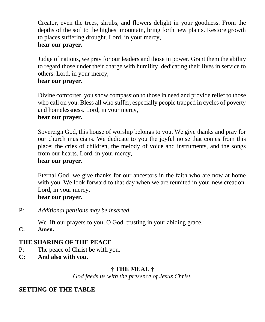Creator, even the trees, shrubs, and flowers delight in your goodness. From the depths of the soil to the highest mountain, bring forth new plants. Restore growth to places suffering drought. Lord, in your mercy, **hear our prayer.**

Judge of nations, we pray for our leaders and those in power. Grant them the ability to regard those under their charge with humility, dedicating their lives in service to others. Lord, in your mercy,

#### **hear our prayer.**

Divine comforter, you show compassion to those in need and provide relief to those who call on you. Bless all who suffer, especially people trapped in cycles of poverty and homelessness. Lord, in your mercy,

#### **hear our prayer.**

Sovereign God, this house of worship belongs to you. We give thanks and pray for our church musicians. We dedicate to you the joyful noise that comes from this place; the cries of children, the melody of voice and instruments, and the songs from our hearts. Lord, in your mercy,

#### **hear our prayer.**

Eternal God, we give thanks for our ancestors in the faith who are now at home with you. We look forward to that day when we are reunited in your new creation. Lord, in your mercy,

#### **hear our prayer.**

P: *Additional petitions may be inserted.*

We lift our prayers to you, O God, trusting in your abiding grace.

**C: Amen.**

#### **THE SHARING OF THE PEACE**

- P: The peace of Christ be with you.
- **C: And also with you.**

#### **† THE MEAL †**

*God feeds us with the presence of Jesus Christ.*

#### **SETTING OF THE TABLE**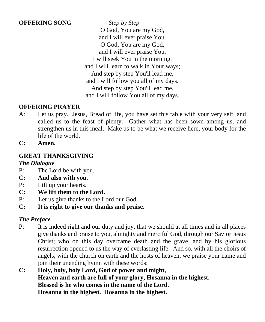#### **OFFERING SONG** *Step by Step*

O God, You are my God, and I will ever praise You. O God, You are my God, and I will ever praise You. I will seek You in the morning, and I will learn to walk in Your ways; And step by step You'll lead me, and I will follow you all of my days. And step by step You'll lead me, and I will follow You all of my days.

#### **OFFERING PRAYER**

- A: Let us pray. Jesus, Bread of life, you have set this table with your very self, and called us to the feast of plenty. Gather what has been sown among us, and strengthen us in this meal. Make us to be what we receive here, your body for the life of the world.
- **C: Amen.**

#### **GREAT THANKSGIVING**

#### *The Dialogue*

- P: The Lord be with you.
- **C: And also with you.**
- P: Lift up your hearts.
- **C: We lift them to the Lord.**
- P: Let us give thanks to the Lord our God.
- **C: It is right to give our thanks and praise.**

#### *The Preface*

- P: It is indeed right and our duty and joy, that we should at all times and in all places give thanks and praise to you, almighty and merciful God, through our Savior Jesus Christ; who on this day overcame death and the grave, and by his glorious resurrection opened to us the way of everlasting life. And so, with all the choirs of angels, with the church on earth and the hosts of heaven, we praise your name and join their unending hymn with these words:
- **C: Holy, holy, holy Lord, God of power and might, Heaven and earth are full of your glory, Hosanna in the highest. Blessed is he who comes in the name of the Lord. Hosanna in the highest. Hosanna in the highest.**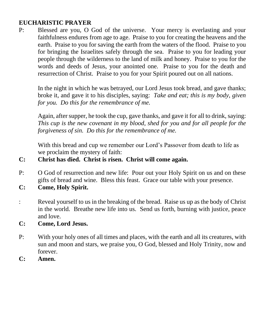#### **EUCHARISTIC PRAYER**

P: Blessed are you, O God of the universe. Your mercy is everlasting and your faithfulness endures from age to age. Praise to you for creating the heavens and the earth. Praise to you for saving the earth from the waters of the flood. Praise to you for bringing the Israelites safely through the sea. Praise to you for leading your people through the wilderness to the land of milk and honey. Praise to you for the words and deeds of Jesus, your anointed one. Praise to you for the death and resurrection of Christ. Praise to you for your Spirit poured out on all nations.

In the night in which he was betrayed, our Lord Jesus took bread, and gave thanks; broke it, and gave it to his disciples, saying: *Take and eat; this is my body, given for you. Do this for the remembrance of me.* 

Again, after supper, he took the cup, gave thanks, and gave it for all to drink, saying: *This cup is the new covenant in my blood, shed for you and for all people for the forgiveness of sin. Do this for the remembrance of me.* 

With this bread and cup we remember our Lord's Passover from death to life as we proclaim the mystery of faith:

#### **C: Christ has died. Christ is risen. Christ will come again.**

- P: O God of resurrection and new life: Pour out your Holy Spirit on us and on these gifts of bread and wine. Bless this feast. Grace our table with your presence.
- **C: Come, Holy Spirit.**
- : Reveal yourself to us in the breaking of the bread. Raise us up as the body of Christ in the world. Breathe new life into us. Send us forth, burning with justice, peace and love.

#### **C: Come, Lord Jesus.**

- P: With your holy ones of all times and places, with the earth and all its creatures, with sun and moon and stars, we praise you, O God, blessed and Holy Trinity, now and forever.
- **C: Amen.**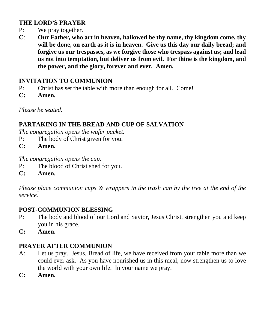#### **THE LORD'S PRAYER**

- P: We pray together.
- **C**: **Our Father, who art in heaven, hallowed be thy name, thy kingdom come, thy will be done, on earth as it is in heaven. Give us this day our daily bread; and forgive us our trespasses, as we forgive those who trespass against us; and lead us not into temptation, but deliver us from evil. For thine is the kingdom, and the power, and the glory, forever and ever. Amen.**

#### **INVITATION TO COMMUNION**

- P: Christ has set the table with more than enough for all. Come!
- **C: Amen.**

*Please be seated.* 

#### **PARTAKING IN THE BREAD AND CUP OF SALVATION**

*The congregation opens the wafer packet.*

- P: The body of Christ given for you.
- **C: Amen.**

*The congregation opens the cup.*

- P: The blood of Christ shed for you.
- **C: Amen.**

*Please place communion cups & wrappers in the trash can by the tree at the end of the service.*

#### **POST-COMMUNION BLESSING**

- P: The body and blood of our Lord and Savior, Jesus Christ, strengthen you and keep you in his grace.
- **C: Amen.**

#### **PRAYER AFTER COMMUNION**

- A: Let us pray. Jesus, Bread of life, we have received from your table more than we could ever ask. As you have nourished us in this meal, now strengthen us to love the world with your own life. In your name we pray.
- **C: Amen.**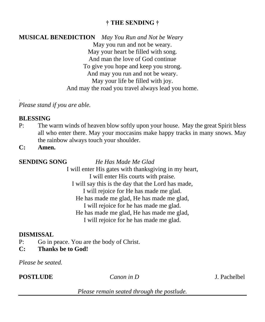#### **† THE SENDING †**

**MUSICAL BENEDICTION** *May You Run and Not be Weary*  May you run and not be weary. May your heart be filled with song. And man the love of God continue To give you hope and keep you strong. And may you run and not be weary. May your life be filled with joy. And may the road you travel always lead you home.

. *Please stand if you are able.*

#### **BLESSING**

- P: The warm winds of heaven blow softly upon your house. May the great Spirit bless all who enter there. May your moccasins make happy tracks in many snows. May the rainbow always touch your shoulder.
- **C: Amen.**

**SENDING SONG** *He Has Made Me Glad*

I will enter His gates with thanksgiving in my heart, I will enter His courts with praise. I will say this is the day that the Lord has made, I will rejoice for He has made me glad. He has made me glad, He has made me glad, I will rejoice for he has made me glad. He has made me glad, He has made me glad, I will rejoice for he has made me glad.

#### **DISMISSAL**

- P: Go in peace. You are the body of Christ.
- **C: Thanks be to God!**

*Please be seated.* 

#### **POSTLUDE** *Canon in D*J. Pachelbel

*Please remain seated through the postlude.*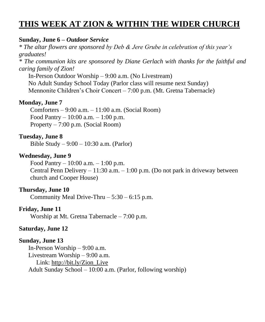## **THIS WEEK AT ZION & WITHIN THE WIDER CHURCH**

#### **Sunday, June 6 –** *Outdoor Service*

*\* The altar flowers are sponsored by Deb & Jere Grube in celebration of this year's graduates!*

*\* The communion kits are sponsored by Diane Gerlach with thanks for the faithful and caring family of Zion!*

In-Person Outdoor Worship – 9:00 a.m. (No Livestream) No Adult Sunday School Today (Parlor class will resume next Sunday) Mennonite Children's Choir Concert – 7:00 p.m. (Mt. Gretna Tabernacle)

#### **Monday, June 7**

Comforters – 9:00 a.m. – 11:00 a.m. (Social Room) Food Pantry – 10:00 a.m. – 1:00 p.m. Property – 7:00 p.m. (Social Room)

#### **Tuesday, June 8**

Bible Study – 9:00 – 10:30 a.m. (Parlor)

#### **Wednesday, June 9**

Food Pantry – 10:00 a.m. – 1:00 p.m. Central Penn Delivery – 11:30 a.m. – 1:00 p.m. (Do not park in driveway between church and Cooper House)

#### **Thursday, June 10**

Community Meal Drive-Thru  $-5:30 - 6:15$  p.m.

#### **Friday, June 11**

Worship at Mt. Gretna Tabernacle – 7:00 p.m.

#### **Saturday, June 12**

#### **Sunday, June 13**

In-Person Worship – 9:00 a.m. Livestream Worship – 9:00 a.m. Link: [http://bit.ly/Zion\\_Live](http://bit.ly/Zion_Live) Adult Sunday School – 10:00 a.m. (Parlor, following worship)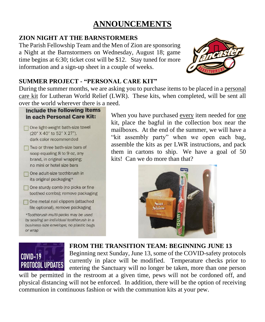# **ANNOUNCEMENTS**

### **ZION NIGHT AT THE BARNSTORMERS**

The Parish Fellowship Team and the Men of Zion are sponsoring a Night at the Barnstormers on Wednesday, August 18; game time begins at 6:30; ticket cost will be \$12. Stay tuned for more information and a sign-up sheet in a couple of weeks.



#### **SUMMER PROJECT - "PERSONAL CARE KIT"**

During the summer months, we are asking you to purchase items to be placed in a personal care kit for Lutheran World Relief (LWR). These kits, when completed, will be sent all over the world wherever there is a need.

#### **Include the following items** in each Personal Care Kit:

- One light-weight bath-size towel (20" X 40" to 52" X 27"), dark color recommended
- Two or three bath-size bars of soap equaling 8 to 9 oz, any brand, in original wrapping; no mini or hotel size bars
- One adult-size toothbrush in its original packaging\*
- One sturdy comb (no picks or fine toothed combs); remove packaging
- One metal nail clippers (attached file optional), remove packaging

\*Toothbrush multi-packs may be used by sealing an individual toothbrush in a business-size envelope; no plastic bags or wrap

When you have purchased every item needed for one kit, place the bagful in the collection box near the mailboxes. At the end of the summer, we will have a "kit assembly party" when we open each bag, assemble the kits as per LWR instructions, and pack them in cartons to ship. We have a goal of 50 kits! Can we do more than that?





**FROM THE TRANSITION TEAM: BEGINNING JUNE 13**

Beginning next Sunday, June 13, some of the COVID-safety protocols currently in place will be modified. Temperature checks prior to entering the Sanctuary will no longer be taken, more than one person

will be permitted in the restroom at a given time, pews will not be cordoned off, and physical distancing will not be enforced. In addition, there will be the option of receiving communion in continuous fashion or with the communion kits at your pew.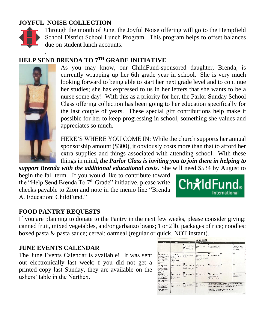#### **JOYFUL NOISE COLLECTION**



.

Through the month of June, the Joyful Noise offering will go to the Hempfield School District School Lunch Program. This program helps to offset balances due on student lunch accounts.

#### **HELP SEND BRENDA TO 7 TH GRADE INITIATIVE**



As you may know, our ChildFund-sponsored daughter, Brenda, is currently wrapping up her 6th grade year in school. She is very much looking forward to being able to start her next grade level and to continue her studies; she has expressed to us in her letters that she wants to be a nurse some day! With this as a priority for her, the Parlor Sunday School Class offering collection has been going to her education specifically for the last couple of years. These special gift contributions help make it possible for her to keep progressing in school, something she values and appreciates so much.

HERE'S WHERE YOU COME IN: While the church supports her annual sponsorship amount (\$300), it obviously costs more than that to afford her extra supplies and things associated with attending school. With these things in mind, *the Parlor Class is inviting you to join them in helping to* 

*support Brenda with the additional educational costs.* She will need \$534 by August to begin the fall term. If you would like to contribute toward the "Help Send Brenda To 7<sup>th</sup> Grade" initiative, please write checks payable to Zion and note in the memo line "Brenda A. Education: ChildFund."



#### **FOOD PANTRY REQUESTS**

If you are planning to donate to the Pantry in the next few weeks, please consider giving: canned fruit, mixed vegetables, and/or garbanzo beans; 1 or 2 lb. packages of rice; noodles; boxed pasta & pasta sauce; cereal; oatmeal (regular or quick, NOT instant).

#### **JUNE EVENTS CALENDAR**

The June Events Calendar is available! It was sent out electronically last week; f you did not get a printed copy last Sunday, they are available on the ushers' table in the Narthex.

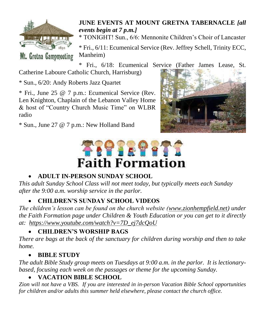

#### **JUNE EVENTS AT MOUNT GRETNA TABERNACLE** *[all events begin at 7 p.m.]*

\* TONIGHT! Sun., 6/6: Mennonite Children's Choir of Lancaster

Mt. Gretna Campmeeting

\* Fri., 6/11: Ecumenical Service (Rev. Jeffrey Schell, Trinity ECC, Manheim)

\* Fri., 6/18: Ecumenical Service (Father James Lease, St.

Catherine Laboure Catholic Church, Harrisburg)

\* Sun., 6/20: Andy Roberts Jazz Quartet

\* Fri., June 25 @ 7 p.m.: Ecumenical Service (Rev. Len Knighton, Chaplain of the Lebanon Valley Home & host of "Country Church Music Time" on WLBR radio

\* Sun., June 27 @ 7 p.m.: New Holland Band





#### • **ADULT IN-PERSON SUNDAY SCHOOL**

*This adult Sunday School Class will not meet today, but typically meets each Sunday after the 9:00 a.m. worship service in the parlor.*

### • **CHILDREN'S SUNDAY SCHOOL VIDEOS**

*The children's lesson can be found on the church website [\(www.zionhempfield.net\)](http://www.zionhempfield.net/) under the Faith Formation page under Children & Youth Education or you can get to it directly at: [https://www.youtube.com/watch?v=7D\\_ej7dcQoU](https://www.youtube.com/watch?v=7D_ej7dcQoU)*

### • **CHILDREN'S WORSHIP BAGS**

*There are bags at the back of the sanctuary for children during worship and then to take home.* 

### • **BIBLE STUDY**

*The adult Bible Study group meets on Tuesdays at 9:00 a.m. in the parlor. It is lectionarybased, focusing each week on the passages or theme for the upcoming Sunday.* 

#### • **VACATION BIBLE SCHOOL**

*Zion will not have a VBS. If you are interested in in-person Vacation Bible School opportunities for children and/or adults this summer held elsewhere, please contact the church office.*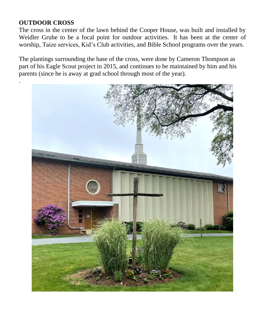#### **OUTDOOR CROSS**

.

The cross in the center of the lawn behind the Cooper House, was built and installed by Weidler Grube to be a focal point for outdoor activities. It has been at the center of worship, Taize services, Kid's Club activities, and Bible School programs over the years.

The plantings surrounding the base of the cross, were done by Cameron Thompson as part of his Eagle Scout project in 2015, and continues to be maintained by him and his parents (since he is away at grad school through most of the year).

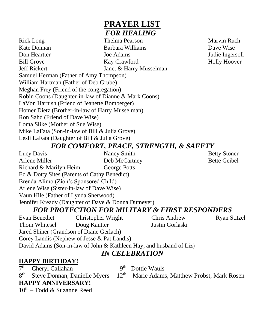## **PRAYER LIST**  *FOR HEALING*

Rick Long Thelma Pearson Marvin Ruch Kate Donnan Barbara Williams Dave Wise Don Heartter Joe Adams Judie Ingersoll Bill Grove Kay Crawford Holly Hoover Jeff Rickert Janet & Harry Musselman Samuel Herman (Father of Amy Thompson) William Hartman (Father of Deb Grube) Meghan Frey (Friend of the congregation) Robin Coons (Daughter-in-law of Dianne & Mark Coons) LaVon Harnish (Friend of Jeanette Bomberger) Homer Dietz (Brother-in-law of Harry Musselman) Ron Sahd (Friend of Dave Wise) Loma Slike (Mother of Sue Wise) Mike LaFata (Son-in-law of Bill & Julia Grove) Lesli LaFata (Daughter of Bill & Julia Grove)

#### *FOR COMFORT, PEACE, STRENGTH, & SAFETY*

Lucy Davis Nancy Smith Betty Stoner Arlene Miller **Deb McCartney** Bette Geibel Richard & Marilyn Heim George Potts Ed & Dotty Sites (Parents of Cathy Benedict) Brenda Alimo (Zion's Sponsored Child) Arlene Wise (Sister-in-law of Dave Wise) Vaun Hile (Father of Lynda Sherwood) Jennifer Kready (Daughter of Dave & Donna Dumeyer)

### *FOR PROTECTION FOR MILITARY & FIRST RESPONDERS*

Evan Benedict Christopher Wright Chris Andrew Ryan Stitzel Thom Whitesel Doug Kautter **Draging Strategier Marshall** Justin Gorlaski Jared Shiner (Grandson of Diane Gerlach) Corey Landis (Nephew of Jesse & Pat Landis) David Adams (Son-in-law of John & Kathleen Hay, and husband of Liz)

### *IN CELEBRATION*

#### **HAPPY BIRTHDAY!**

7<sup>th</sup> – Cheryl Callahan 9 <sup>th</sup> –Dottie Wauls  $8<sup>th</sup>$  – Steve Donnan, Danielle Myers 12<sup>th</sup>  $12<sup>th</sup>$  – Marie Adams, Matthew Probst, Mark Rosen **HAPPY ANNIVERSARY!**

10<sup>th</sup> – Todd & Suzanne Reed